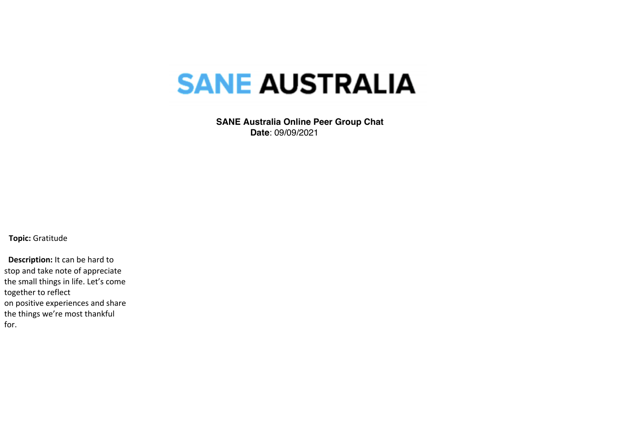## **SANE AUSTRALIA**

 **SANE Australia Online Peer Group Chat Date**: 09/09/2021

**Topic:** Gratitude

 **Description:** It can be hard to stop and take note of appreciate the small things in life. Let's come together to reflect on positive experiences and share the things we're most thankful for.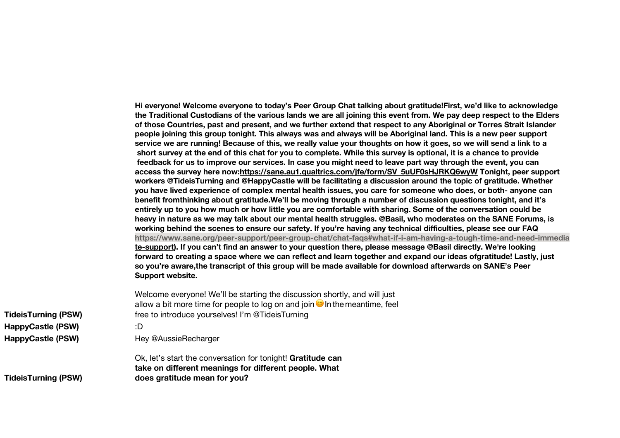**Hi everyone! Welcome everyone to today's Peer Group Chat talking about gratitude!First, we'd like to acknowledge the Traditional Custodians of the various lands we are all joining this event from. We pay deep respect to the Elders of those Countries, past and present, and we further extend that respect to any Aboriginal or Torres Strait Islander people joining this group tonight. This always was and always will be Aboriginal land. This is a new peer support service we are running! Because of this, we really value your thoughts on how it goes, so we will send a link to a short survey at the end of this chat for you to complete. While this survey is optional, it is a chance to provide feedback for us to improve our services. In case you might need to leave part way through the event, you can access the survey here now:https://sane.au1.qualtrics.com/jfe/form/SV\_5uUF0sHJRKQ6wyW Tonight, peer support workers @TideisTurning and @HappyCastle will be facilitating a discussion around the topic of gratitude. Whether you have lived experience of complex mental health issues, you care for someone who does, or both- anyone can benefit fromthinking about gratitude.We'll be moving through a number of discussion questions tonight, and it's entirely up to you how much or how little you are comfortable with sharing. Some of the conversation could be heavy in nature as we may talk about our mental health struggles. @Basil, who moderates on the SANE Forums, is working behind the scenes to ensure our safety. If you're having any technical difficulties, please see our FAQ https://www.sane.org/peer-support/peer-group-chat/chat-faqs#what-if-i-am-having-a-tough-time-and-need-immedia te-support). If you can't find an answer to your question there, please message @Basil directly. We're looking forward to creating a space where we can reflect and learn together and expand our ideas ofgratitude! Lastly, just so you're aware,the transcript of this group will be made available for download afterwards on SANE's Peer Support website.**

Welcome everyone! We'll be starting the discussion shortly, and will just allow a bit more time for people to log on and join  $\bullet$  In the meantime, feel free to introduce yourselves! I'm @TideisTurning

**TideisTurning (PSW) HappyCastle (PSW)** :D **HappyCastle (PSW)** Hey @AussieRecharger

Ok, let's start the conversation for tonight! **Gratitude can take on different meanings for different people. What does gratitude mean for you?**

**TideisTurning (PSW)**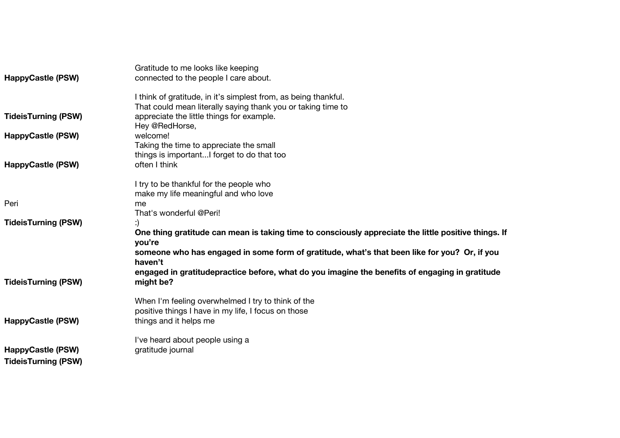|                            | Gratitude to me looks like keeping                                                                      |
|----------------------------|---------------------------------------------------------------------------------------------------------|
| <b>HappyCastle (PSW)</b>   | connected to the people I care about.                                                                   |
|                            | I think of gratitude, in it's simplest from, as being thankful.                                         |
|                            | That could mean literally saying thank you or taking time to                                            |
| <b>TideisTurning (PSW)</b> | appreciate the little things for example.                                                               |
|                            | Hey @RedHorse,                                                                                          |
| <b>HappyCastle (PSW)</b>   | welcome!                                                                                                |
|                            | Taking the time to appreciate the small                                                                 |
|                            | things is importantI forget to do that too                                                              |
| <b>HappyCastle (PSW)</b>   | often I think                                                                                           |
|                            | I try to be thankful for the people who                                                                 |
|                            | make my life meaningful and who love                                                                    |
| Peri                       | me                                                                                                      |
|                            | That's wonderful @Peri!                                                                                 |
| <b>TideisTurning (PSW)</b> |                                                                                                         |
|                            | One thing gratitude can mean is taking time to consciously appreciate the little positive things. If    |
|                            | you're                                                                                                  |
|                            | someone who has engaged in some form of gratitude, what's that been like for you? Or, if you<br>haven't |
|                            | engaged in gratitudepractice before, what do you imagine the benefits of engaging in gratitude          |
| <b>TideisTurning (PSW)</b> | might be?                                                                                               |
|                            | When I'm feeling overwhelmed I try to think of the                                                      |
|                            | positive things I have in my life, I focus on those                                                     |
| <b>HappyCastle (PSW)</b>   | things and it helps me                                                                                  |
|                            | I've heard about people using a                                                                         |
| <b>HappyCastle (PSW)</b>   | gratitude journal                                                                                       |
| <b>TideisTurning (PSW)</b> |                                                                                                         |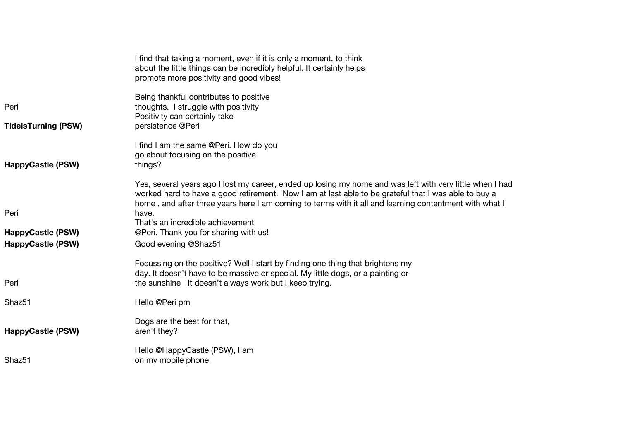|                            | I find that taking a moment, even if it is only a moment, to think<br>about the little things can be incredibly helpful. It certainly helps<br>promote more positivity and good vibes!                                                                                                                                      |
|----------------------------|-----------------------------------------------------------------------------------------------------------------------------------------------------------------------------------------------------------------------------------------------------------------------------------------------------------------------------|
| Peri                       | Being thankful contributes to positive<br>thoughts. I struggle with positivity<br>Positivity can certainly take                                                                                                                                                                                                             |
| <b>TideisTurning (PSW)</b> | persistence @Peri                                                                                                                                                                                                                                                                                                           |
| <b>HappyCastle (PSW)</b>   | I find I am the same @Peri. How do you<br>go about focusing on the positive<br>things?                                                                                                                                                                                                                                      |
|                            | Yes, several years ago I lost my career, ended up losing my home and was left with very little when I had<br>worked hard to have a good retirement. Now I am at last able to be grateful that I was able to buy a<br>home, and after three years here I am coming to terms with it all and learning contentment with what I |
| Peri                       | have.<br>That's an incredible achievement                                                                                                                                                                                                                                                                                   |
| <b>HappyCastle (PSW)</b>   | @Peri. Thank you for sharing with us!                                                                                                                                                                                                                                                                                       |
| <b>HappyCastle (PSW)</b>   | Good evening @Shaz51                                                                                                                                                                                                                                                                                                        |
| Peri                       | Focussing on the positive? Well I start by finding one thing that brightens my<br>day. It doesn't have to be massive or special. My little dogs, or a painting or<br>the sunshine It doesn't always work but I keep trying.                                                                                                 |
| Shaz <sub>51</sub>         | Hello @Peri pm                                                                                                                                                                                                                                                                                                              |
| <b>HappyCastle (PSW)</b>   | Dogs are the best for that,<br>aren't they?                                                                                                                                                                                                                                                                                 |
| Shaz51                     | Hello @HappyCastle (PSW), I am<br>on my mobile phone                                                                                                                                                                                                                                                                        |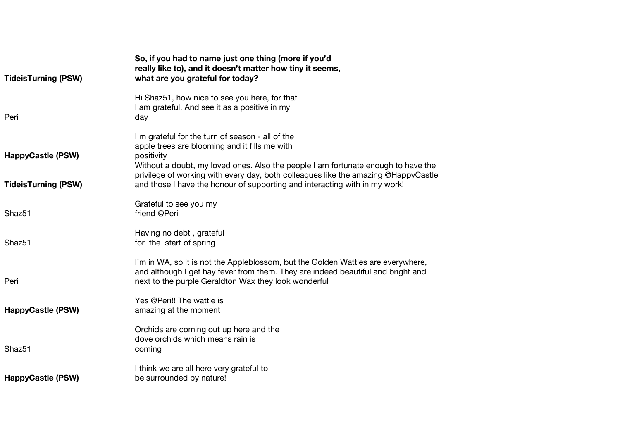| <b>TideisTurning (PSW)</b> | So, if you had to name just one thing (more if you'd<br>really like to), and it doesn't matter how tiny it seems,<br>what are you grateful for today?                                                                                                                                      |
|----------------------------|--------------------------------------------------------------------------------------------------------------------------------------------------------------------------------------------------------------------------------------------------------------------------------------------|
| Peri                       | Hi Shaz51, how nice to see you here, for that<br>I am grateful. And see it as a positive in my<br>day                                                                                                                                                                                      |
| <b>HappyCastle (PSW)</b>   | I'm grateful for the turn of season - all of the<br>apple trees are blooming and it fills me with<br>positivity<br>Without a doubt, my loved ones. Also the people I am fortunate enough to have the<br>privilege of working with every day, both colleagues like the amazing @HappyCastle |
| <b>TideisTurning (PSW)</b> | and those I have the honour of supporting and interacting with in my work!                                                                                                                                                                                                                 |
| Shaz51                     | Grateful to see you my<br>friend @Peri                                                                                                                                                                                                                                                     |
| Shaz <sub>51</sub>         | Having no debt, grateful<br>for the start of spring                                                                                                                                                                                                                                        |
| Peri                       | I'm in WA, so it is not the Appleblossom, but the Golden Wattles are everywhere,<br>and although I get hay fever from them. They are indeed beautiful and bright and<br>next to the purple Geraldton Wax they look wonderful                                                               |
| <b>HappyCastle (PSW)</b>   | Yes @Peri!! The wattle is<br>amazing at the moment                                                                                                                                                                                                                                         |
| Shaz51                     | Orchids are coming out up here and the<br>dove orchids which means rain is<br>coming                                                                                                                                                                                                       |
| <b>HappyCastle (PSW)</b>   | I think we are all here very grateful to<br>be surrounded by nature!                                                                                                                                                                                                                       |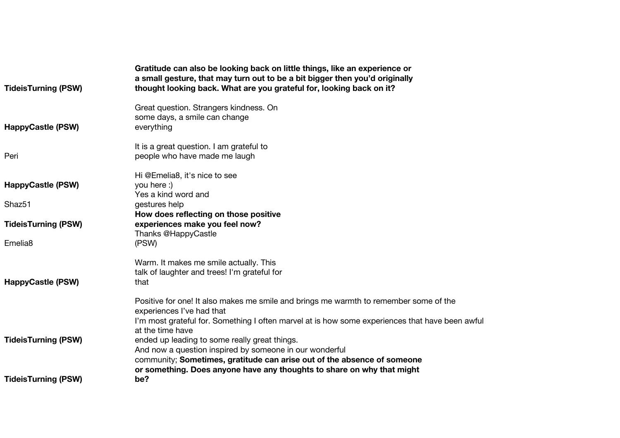| <b>TideisTurning (PSW)</b> | Gratitude can also be looking back on little things, like an experience or<br>a small gesture, that may turn out to be a bit bigger then you'd originally<br>thought looking back. What are you grateful for, looking back on it? |
|----------------------------|-----------------------------------------------------------------------------------------------------------------------------------------------------------------------------------------------------------------------------------|
| <b>HappyCastle (PSW)</b>   | Great question. Strangers kindness. On<br>some days, a smile can change<br>everything                                                                                                                                             |
| Peri                       | It is a great question. I am grateful to<br>people who have made me laugh                                                                                                                                                         |
| <b>HappyCastle (PSW)</b>   | Hi @Emelia8, it's nice to see<br>you here :)<br>Yes a kind word and                                                                                                                                                               |
| Shaz <sub>51</sub>         | gestures help                                                                                                                                                                                                                     |
| <b>TideisTurning (PSW)</b> | How does reflecting on those positive<br>experiences make you feel now?<br>Thanks @HappyCastle                                                                                                                                    |
| Emelia <sub>8</sub>        | (PSW)                                                                                                                                                                                                                             |
| <b>HappyCastle (PSW)</b>   | Warm. It makes me smile actually. This<br>talk of laughter and trees! I'm grateful for<br>that                                                                                                                                    |
|                            | Positive for one! It also makes me smile and brings me warmth to remember some of the<br>experiences I've had that                                                                                                                |
|                            | I'm most grateful for. Something I often marvel at is how some experiences that have been awful<br>at the time have                                                                                                               |
| <b>TideisTurning (PSW)</b> | ended up leading to some really great things.                                                                                                                                                                                     |
|                            | And now a question inspired by someone in our wonderful<br>community; Sometimes, gratitude can arise out of the absence of someone                                                                                                |
| <b>TideisTurning (PSW)</b> | or something. Does anyone have any thoughts to share on why that might<br>be?                                                                                                                                                     |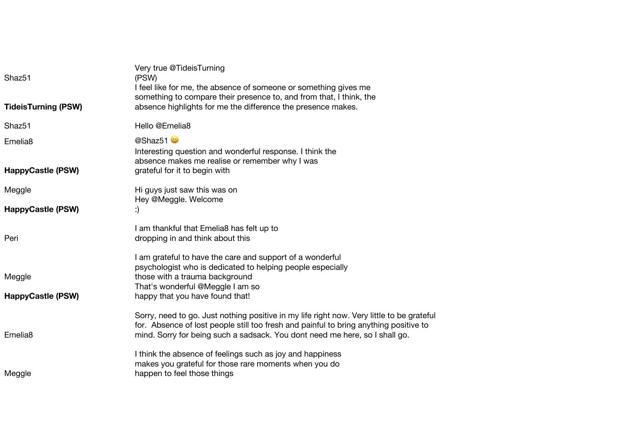| Shaz <sub>51</sub>         | Very true @TideisTurning<br>(PSW)<br>I feel like for me, the absence of someone or something gives me                                                                                                                                                             |
|----------------------------|-------------------------------------------------------------------------------------------------------------------------------------------------------------------------------------------------------------------------------------------------------------------|
| <b>TideisTurning (PSW)</b> | something to compare their presence to, and from that, I think, the<br>absence highlights for me the difference the presence makes.                                                                                                                               |
| Shaz51                     | Hello @Emelia8                                                                                                                                                                                                                                                    |
| Emelia <sub>8</sub>        | @Shaz51<br>Interesting question and wonderful response. I think the<br>absence makes me realise or remember why I was                                                                                                                                             |
| <b>HappyCastle (PSW)</b>   | grateful for it to begin with                                                                                                                                                                                                                                     |
| Meggle                     | Hi guys just saw this was on<br>Hey @Meggle. Welcome                                                                                                                                                                                                              |
| <b>HappyCastle (PSW)</b>   | :)                                                                                                                                                                                                                                                                |
| Peri                       | I am thankful that Emelia8 has felt up to<br>dropping in and think about this                                                                                                                                                                                     |
|                            | I am grateful to have the care and support of a wonderful<br>psychologist who is dedicated to helping people especially                                                                                                                                           |
| Meggle                     | those with a trauma background<br>That's wonderful @Meggle I am so                                                                                                                                                                                                |
| <b>HappyCastle (PSW)</b>   | happy that you have found that!                                                                                                                                                                                                                                   |
| Emelia <sub>8</sub>        | Sorry, need to go. Just nothing positive in my life right now. Very little to be grateful<br>for. Absence of lost people still too fresh and painful to bring anything positive to<br>mind. Sorry for being such a sadsack. You dont need me here, so I shall go. |
|                            | I think the absence of feelings such as joy and happiness<br>makes you grateful for those rare moments when you do                                                                                                                                                |
| Meggle                     | happen to feel those things                                                                                                                                                                                                                                       |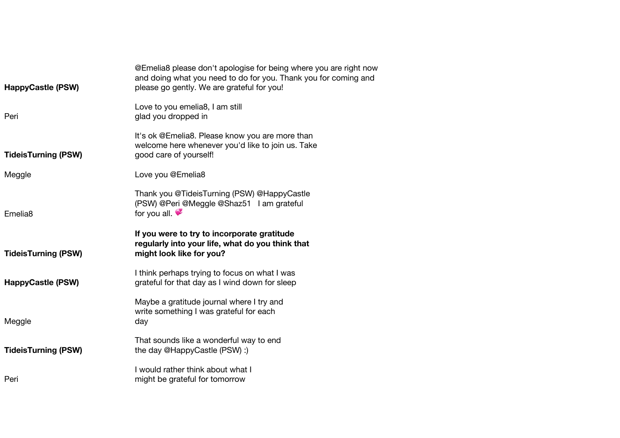| <b>HappyCastle (PSW)</b>   | @Emelia8 please don't apologise for being where you are right now<br>and doing what you need to do for you. Thank you for coming and<br>please go gently. We are grateful for you! |
|----------------------------|------------------------------------------------------------------------------------------------------------------------------------------------------------------------------------|
| Peri                       | Love to you emelia8, I am still<br>glad you dropped in                                                                                                                             |
| <b>TideisTurning (PSW)</b> | It's ok @Emelia8. Please know you are more than<br>welcome here whenever you'd like to join us. Take<br>good care of yourself!                                                     |
| Meggle                     | Love you @Emelia8                                                                                                                                                                  |
| Emelia <sub>8</sub>        | Thank you @TideisTurning (PSW) @HappyCastle<br>(PSW) @Peri @Meggle @Shaz51 I am grateful<br>for you all.                                                                           |
|                            |                                                                                                                                                                                    |
| <b>TideisTurning (PSW)</b> | If you were to try to incorporate gratitude<br>regularly into your life, what do you think that<br>might look like for you?                                                        |
| <b>HappyCastle (PSW)</b>   | I think perhaps trying to focus on what I was<br>grateful for that day as I wind down for sleep                                                                                    |
| Meggle                     | Maybe a gratitude journal where I try and<br>write something I was grateful for each<br>day                                                                                        |
| <b>TideisTurning (PSW)</b> | That sounds like a wonderful way to end<br>the day @HappyCastle (PSW) :)                                                                                                           |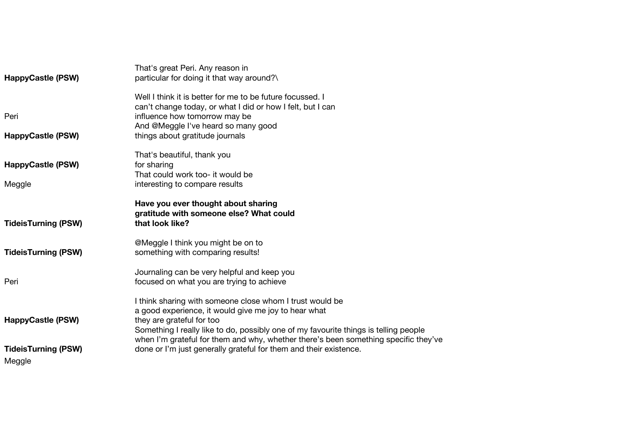| <b>HappyCastle (PSW)</b>           | That's great Peri. Any reason in<br>particular for doing it that way around?\                                                                                                                                                                                                                                                |
|------------------------------------|------------------------------------------------------------------------------------------------------------------------------------------------------------------------------------------------------------------------------------------------------------------------------------------------------------------------------|
| Peri<br><b>HappyCastle (PSW)</b>   | Well I think it is better for me to be future focussed. I<br>can't change today, or what I did or how I felt, but I can<br>influence how tomorrow may be<br>And @Meggle I've heard so many good<br>things about gratitude journals                                                                                           |
|                                    |                                                                                                                                                                                                                                                                                                                              |
| <b>HappyCastle (PSW)</b><br>Meggle | That's beautiful, thank you<br>for sharing<br>That could work too- it would be<br>interesting to compare results                                                                                                                                                                                                             |
|                                    | Have you ever thought about sharing                                                                                                                                                                                                                                                                                          |
| <b>TideisTurning (PSW)</b>         | gratitude with someone else? What could<br>that look like?                                                                                                                                                                                                                                                                   |
| <b>TideisTurning (PSW)</b>         | @Meggle I think you might be on to<br>something with comparing results!                                                                                                                                                                                                                                                      |
| Peri                               | Journaling can be very helpful and keep you<br>focused on what you are trying to achieve                                                                                                                                                                                                                                     |
| <b>HappyCastle (PSW)</b>           | I think sharing with someone close whom I trust would be<br>a good experience, it would give me joy to hear what<br>they are grateful for too<br>Something I really like to do, possibly one of my favourite things is telling people<br>when I'm grateful for them and why, whether there's been something specific they've |
| <b>TideisTurning (PSW)</b>         | done or I'm just generally grateful for them and their existence.                                                                                                                                                                                                                                                            |
| Meggle                             |                                                                                                                                                                                                                                                                                                                              |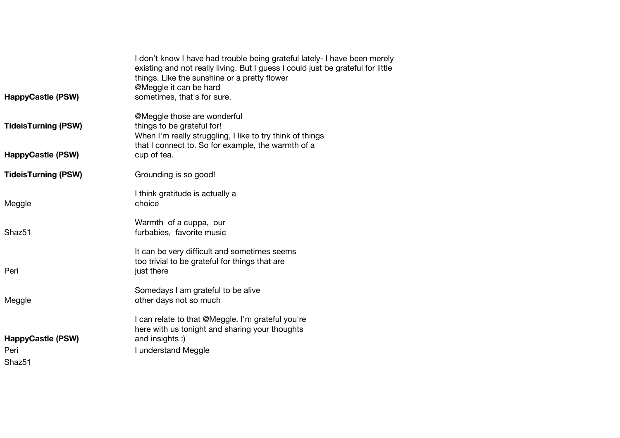| <b>HappyCastle (PSW)</b>                               | I don't know I have had trouble being grateful lately- I have been merely<br>existing and not really living. But I guess I could just be grateful for little<br>things. Like the sunshine or a pretty flower<br>@Meggle it can be hard<br>sometimes, that's for sure. |
|--------------------------------------------------------|-----------------------------------------------------------------------------------------------------------------------------------------------------------------------------------------------------------------------------------------------------------------------|
| <b>TideisTurning (PSW)</b><br><b>HappyCastle (PSW)</b> | @Meggle those are wonderful<br>things to be grateful for!<br>When I'm really struggling, I like to try think of things<br>that I connect to. So for example, the warmth of a<br>cup of tea.                                                                           |
|                                                        |                                                                                                                                                                                                                                                                       |
| <b>TideisTurning (PSW)</b>                             | Grounding is so good!                                                                                                                                                                                                                                                 |
| Meggle                                                 | I think gratitude is actually a<br>choice                                                                                                                                                                                                                             |
| Shaz <sub>51</sub>                                     | Warmth of a cuppa, our<br>furbabies, favorite music                                                                                                                                                                                                                   |
| Peri                                                   | It can be very difficult and sometimes seems<br>too trivial to be grateful for things that are<br>just there                                                                                                                                                          |
| Meggle                                                 | Somedays I am grateful to be alive<br>other days not so much                                                                                                                                                                                                          |
| <b>HappyCastle (PSW)</b><br>Peri<br>Shaz <sub>51</sub> | I can relate to that @Meggle. I'm grateful you're<br>here with us tonight and sharing your thoughts<br>and insights :)<br>I understand Meggle                                                                                                                         |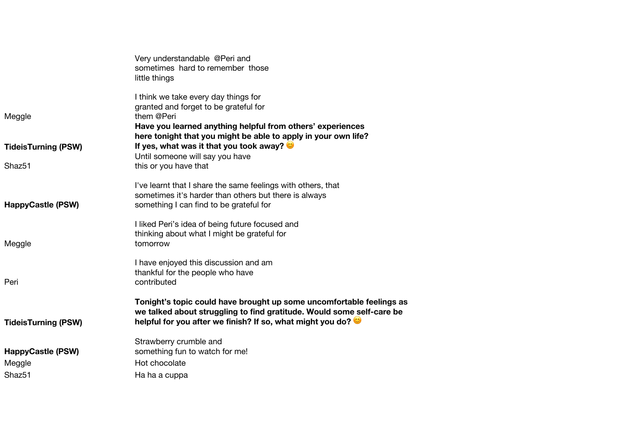|                                              | Very understandable @Peri and<br>sometimes hard to remember those<br>little things                                                                                                                                          |
|----------------------------------------------|-----------------------------------------------------------------------------------------------------------------------------------------------------------------------------------------------------------------------------|
| Meggle                                       | I think we take every day things for<br>granted and forget to be grateful for<br>them @Peri<br>Have you learned anything helpful from others' experiences<br>here tonight that you might be able to apply in your own life? |
| <b>TideisTurning (PSW)</b>                   | If yes, what was it that you took away?                                                                                                                                                                                     |
| Shaz <sub>51</sub>                           | Until someone will say you have<br>this or you have that                                                                                                                                                                    |
| <b>HappyCastle (PSW)</b>                     | I've learnt that I share the same feelings with others, that<br>sometimes it's harder than others but there is always<br>something I can find to be grateful for                                                            |
| Meggle                                       | I liked Peri's idea of being future focused and<br>thinking about what I might be grateful for<br>tomorrow                                                                                                                  |
| Peri                                         | I have enjoyed this discussion and am<br>thankful for the people who have<br>contributed                                                                                                                                    |
| <b>TideisTurning (PSW)</b>                   | Tonight's topic could have brought up some uncomfortable feelings as<br>we talked about struggling to find gratitude. Would some self-care be<br>helpful for you after we finish? If so, what might you do?                 |
| <b>HappyCastle (PSW)</b><br>Meggle<br>Shaz51 | Strawberry crumble and<br>something fun to watch for me!<br>Hot chocolate<br>Ha ha a cuppa                                                                                                                                  |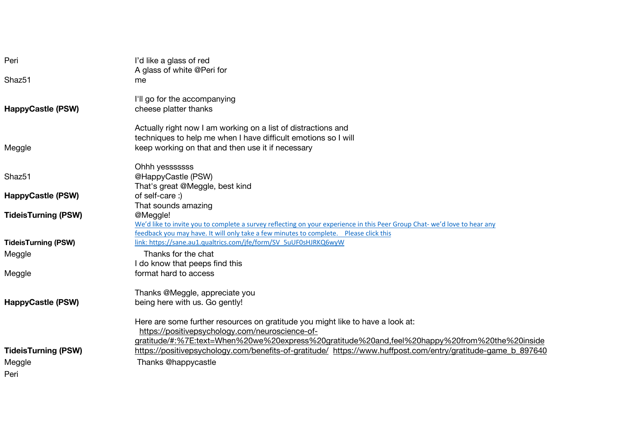| Peri                       | I'd like a glass of red                                                                                                  |
|----------------------------|--------------------------------------------------------------------------------------------------------------------------|
|                            | A glass of white @Peri for                                                                                               |
| Shaz51                     | me                                                                                                                       |
|                            | I'll go for the accompanying                                                                                             |
| <b>HappyCastle (PSW)</b>   | cheese platter thanks                                                                                                    |
|                            | Actually right now I am working on a list of distractions and                                                            |
|                            | techniques to help me when I have difficult emotions so I will                                                           |
| Meggle                     | keep working on that and then use it if necessary                                                                        |
|                            | Ohhh yessssssss                                                                                                          |
| Shaz51                     | @HappyCastle (PSW)                                                                                                       |
|                            | That's great @Meggle, best kind                                                                                          |
| <b>HappyCastle (PSW)</b>   | of self-care :)                                                                                                          |
|                            | That sounds amazing                                                                                                      |
| <b>TideisTurning (PSW)</b> | @Meggle!                                                                                                                 |
|                            | We'd like to invite you to complete a survey reflecting on your experience in this Peer Group Chat-we'd love to hear any |
|                            | feedback you may have. It will only take a few minutes to complete.  Please click this                                   |
| <b>TideisTurning (PSW)</b> | link: https://sane.au1.qualtrics.com/jfe/form/SV 5uUF0sHJRKQ6wyW                                                         |
| Meggle                     | Thanks for the chat                                                                                                      |
|                            | I do know that peeps find this                                                                                           |
| Meggle                     | format hard to access                                                                                                    |
|                            | Thanks @Meggle, appreciate you                                                                                           |
| <b>HappyCastle (PSW)</b>   | being here with us. Go gently!                                                                                           |
|                            | Here are some further resources on gratitude you might like to have a look at:                                           |
|                            | https://positivepsychology.com/neuroscience-of-                                                                          |
|                            | gratitude/#:%7E:text=When%20we%20express%20gratitude%20and,feel%20happy%20from%20the%20inside                            |
| <b>TideisTurning (PSW)</b> | https://positivepsychology.com/benefits-of-gratitude/ https://www.huffpost.com/entry/gratitude-game b 897640             |
| Meggle                     | Thanks @happycastle                                                                                                      |
| Peri                       |                                                                                                                          |
|                            |                                                                                                                          |